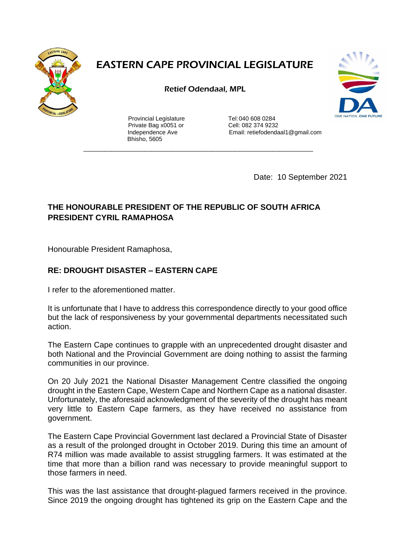

## **EASTERN CAPE PROVINCIAL LEGISLATURE**

Retief Odendaal, MPL



Provincial Legislature Tel:040 608 0284 Private Bag x0051 or Cell: 082 374 9232 Bhisho, 5605

Independence Ave Email: retiefodendaal1@gmail.com

Date: 10 September 2021

## **THE HONOURABLE PRESIDENT OF THE REPUBLIC OF SOUTH AFRICA PRESIDENT CYRIL RAMAPHOSA**

Honourable President Ramaphosa,

## **RE: DROUGHT DISASTER – EASTERN CAPE**

I refer to the aforementioned matter.

It is unfortunate that I have to address this correspondence directly to your good office but the lack of responsiveness by your governmental departments necessitated such action.

The Eastern Cape continues to grapple with an unprecedented drought disaster and both National and the Provincial Government are doing nothing to assist the farming communities in our province.

On 20 July 2021 the National Disaster Management Centre classified the ongoing drought in the Eastern Cape, Western Cape and Northern Cape as a national disaster. Unfortunately, the aforesaid acknowledgment of the severity of the drought has meant very little to Eastern Cape farmers, as they have received no assistance from government.

The Eastern Cape Provincial Government last declared a Provincial State of Disaster as a result of the prolonged drought in October 2019. During this time an amount of R74 million was made available to assist struggling farmers. It was estimated at the time that more than a billion rand was necessary to provide meaningful support to those farmers in need.

This was the last assistance that drought-plagued farmers received in the province. Since 2019 the ongoing drought has tightened its grip on the Eastern Cape and the